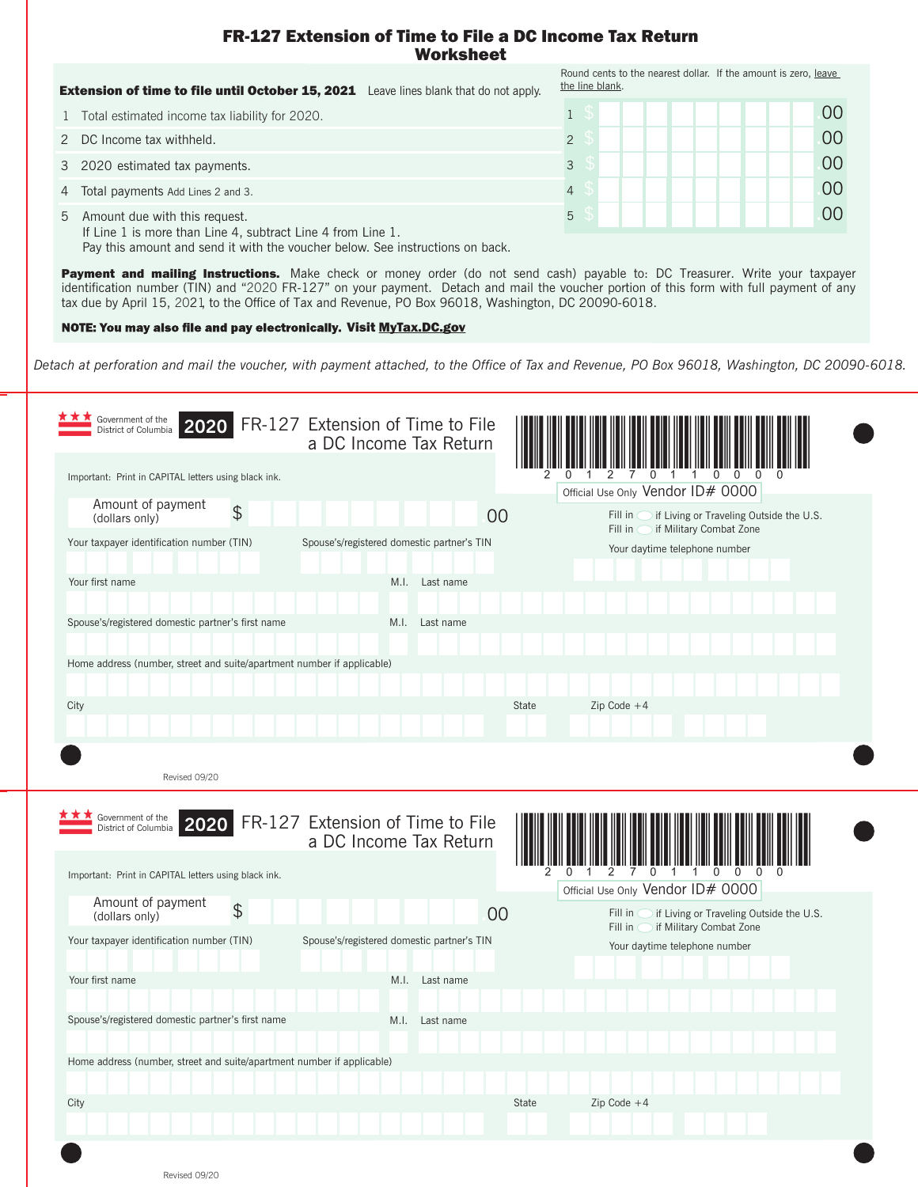## FR-127 Extension of Time to File a DC Income Tax Return Worksheet

|   | Leave lines blank that do not apply.<br><b>Extension of time to file until October 15, 2021</b>                                                                                                                                                                                                                                 | Round cents to the nearest dollar. If the amount is zero, leave<br>the line blank. |            |
|---|---------------------------------------------------------------------------------------------------------------------------------------------------------------------------------------------------------------------------------------------------------------------------------------------------------------------------------|------------------------------------------------------------------------------------|------------|
|   | Total estimated income tax liability for 2020.                                                                                                                                                                                                                                                                                  |                                                                                    | $($ $()()$ |
|   | 2 DC Income tax withheld.                                                                                                                                                                                                                                                                                                       |                                                                                    | $00 \,$    |
|   | 3 2020 estimated tax payments.                                                                                                                                                                                                                                                                                                  |                                                                                    | 00         |
| 4 | Total payments Add Lines 2 and 3.                                                                                                                                                                                                                                                                                               |                                                                                    | 00         |
|   | 5 Amount due with this request.<br>If Line 1 is more than Line 4, subtract Line 4 from Line 1.<br>. The contract of the contract of the contract of the contract of the contract of the contract of the contract of the contract of the contract of the contract of the contract of the contract of the contract of the contrac | 5                                                                                  | 00         |

Pay this amount and send it with the voucher below. See instructions on back.

Payment and mailing Instructions. Make check or money order (do not send cash) payable to: DC Treasurer. Write your taxpayer identification number (TIN) and "2020 FR-127" on your payment. Detach and mail the voucher portion of this form with full payment of any tax due by April 15, 2021, to the Office of Tax and Revenue, PO Box 96018, Washington, DC 20090-6018.

NOTE: You may also file and pay electronically. Visit MyTax.DC.gov

*Detach at perforation and mail the voucher, with payment attached, to the Office of Tax and Revenue, PO Box 96018, Washington, DC 20090-6018.*

| Government of the<br>2020<br>District of Columbia                      |                | FR-127 Extension of Time to File<br>a DC Income Tax Return |                |       |                                                                                         |
|------------------------------------------------------------------------|----------------|------------------------------------------------------------|----------------|-------|-----------------------------------------------------------------------------------------|
| Important: Print in CAPITAL letters using black ink.                   |                |                                                            |                |       | <sup>n</sup><br>Official Use Only Vendor ID# 0000                                       |
| Amount of payment<br>(dollars only)                                    | $\frac{1}{2}$  |                                                            |                | 00    | Fill in<br>if Living or Traveling Outside the U.S.                                      |
| Your taxpayer identification number (TIN)                              |                | Spouse's/registered domestic partner's TIN                 |                |       | Fill in<br>if Military Combat Zone<br>Your daytime telephone number                     |
| Your first name                                                        |                |                                                            | M.I. Last name |       |                                                                                         |
| Spouse's/registered domestic partner's first name                      |                | M.I.                                                       | Last name      |       |                                                                                         |
| Home address (number, street and suite/apartment number if applicable) |                |                                                            |                |       |                                                                                         |
| City                                                                   |                |                                                            |                | State | Zip Code $+4$                                                                           |
|                                                                        |                |                                                            |                |       |                                                                                         |
| Revised 09/20<br>Government of the<br>2020<br>District of Columbia     |                | FR-127 Extension of Time to File                           |                |       |                                                                                         |
| Important: Print in CAPITAL letters using black ink.                   |                | a DC Income Tax Return                                     |                |       | $\overline{0}$<br>$\Omega$<br><sup>0</sup>                                              |
| Amount of payment                                                      | $\mathfrak{D}$ |                                                            |                |       | Official Use Only Vendor ID# 0000<br>if Living or Traveling Outside the U.S.<br>Fill in |
| (dollars only)<br>Your taxpayer identification number (TIN)            |                | Spouse's/registered domestic partner's TIN                 |                | 00    | if Military Combat Zone<br>Fill in<br>Your daytime telephone number                     |
| Your first name                                                        |                | M.I.                                                       | Last name      |       |                                                                                         |
| Spouse's/registered domestic partner's first name                      |                | M.I.                                                       | Last name      |       |                                                                                         |
| Home address (number, street and suite/apartment number if applicable) |                |                                                            |                |       |                                                                                         |
| City                                                                   |                |                                                            |                | State | $Zip Code +4$                                                                           |